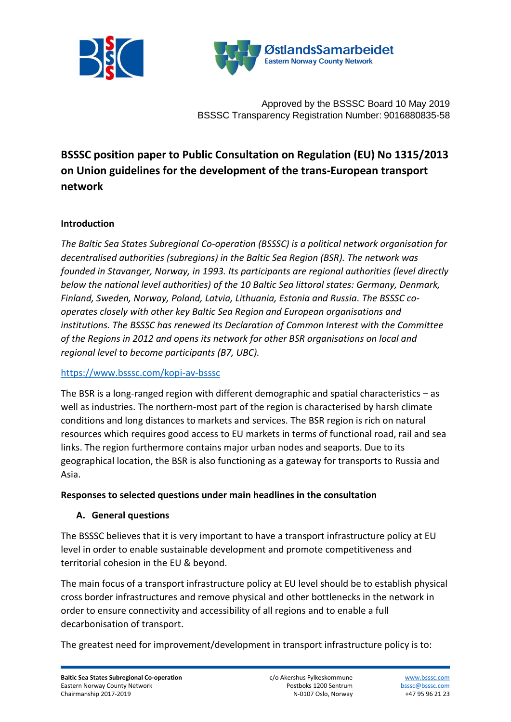



Approved by the BSSSC Board 10 May 2019 BSSSC Transparency Registration Number: 9016880835-58

# **BSSSC position paper to Public Consultation on Regulation (EU) No 1315/2013 on Union guidelines for the development of the trans-European transport network**

#### **Introduction**

*The Baltic Sea States Subregional Co-operation (BSSSC) is a political network organisation for decentralised authorities (subregions) in the Baltic Sea Region (BSR). The network was founded in Stavanger, Norway, in 1993. Its participants are regional authorities (level directly below the national level authorities) of the 10 Baltic Sea littoral states: Germany, Denmark, Finland, Sweden, Norway, Poland, Latvia, Lithuania, Estonia and Russia. The BSSSC cooperates closely with other key Baltic Sea Region and European organisations and institutions. The BSSSC has renewed its Declaration of Common Interest with the Committee of the Regions in 2012 and opens its network for other BSR organisations on local and regional level to become participants (B7, UBC).*

#### <https://www.bsssc.com/kopi-av-bsssc>

The BSR is a long-ranged region with different demographic and spatial characteristics – as well as industries. The northern-most part of the region is characterised by harsh climate conditions and long distances to markets and services. The BSR region is rich on natural resources which requires good access to EU markets in terms of functional road, rail and sea links. The region furthermore contains major urban nodes and seaports. Due to its geographical location, the BSR is also functioning as a gateway for transports to Russia and Asia.

#### **Responses to selected questions under main headlines in the consultation**

#### **A. General questions**

The BSSSC believes that it is very important to have a transport infrastructure policy at EU level in order to enable sustainable development and promote competitiveness and territorial cohesion in the EU & beyond.

The main focus of a transport infrastructure policy at EU level should be to establish physical cross border infrastructures and remove physical and other bottlenecks in the network in order to ensure connectivity and accessibility of all regions and to enable a full decarbonisation of transport.

The greatest need for improvement/development in transport infrastructure policy is to: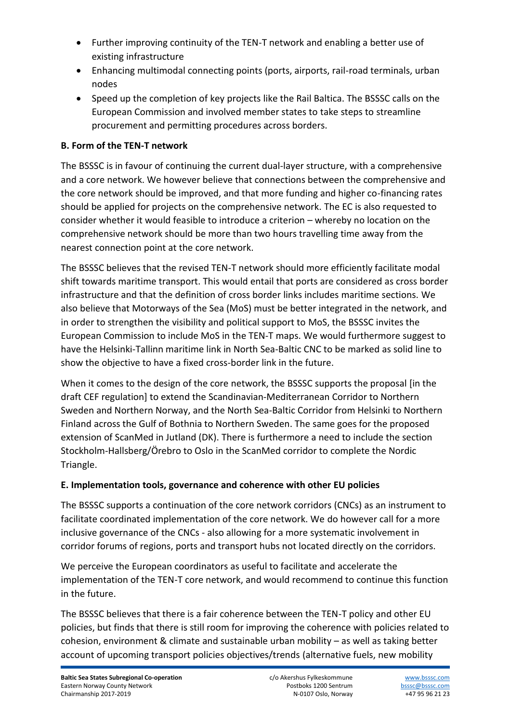- Further improving continuity of the TEN-T network and enabling a better use of existing infrastructure
- Enhancing multimodal connecting points (ports, airports, rail-road terminals, urban nodes
- Speed up the completion of key projects like the Rail Baltica. The BSSSC calls on the European Commission and involved member states to take steps to streamline procurement and permitting procedures across borders.

## **B. Form of the TEN-T network**

The BSSSC is in favour of continuing the current dual-layer structure, with a comprehensive and a core network. We however believe that connections between the comprehensive and the core network should be improved, and that more funding and higher co-financing rates should be applied for projects on the comprehensive network. The EC is also requested to consider whether it would feasible to introduce a criterion – whereby no location on the comprehensive network should be more than two hours travelling time away from the nearest connection point at the core network.

The BSSSC believes that the revised TEN-T network should more efficiently facilitate modal shift towards maritime transport. This would entail that ports are considered as cross border infrastructure and that the definition of cross border links includes maritime sections. We also believe that Motorways of the Sea (MoS) must be better integrated in the network, and in order to strengthen the visibility and political support to MoS, the BSSSC invites the European Commission to include MoS in the TEN-T maps. We would furthermore suggest to have the Helsinki-Tallinn maritime link in North Sea-Baltic CNC to be marked as solid line to show the objective to have a fixed cross-border link in the future.

When it comes to the design of the core network, the BSSSC supports the proposal [in the draft CEF regulation] to extend the Scandinavian-Mediterranean Corridor to Northern Sweden and Northern Norway, and the North Sea-Baltic Corridor from Helsinki to Northern Finland across the Gulf of Bothnia to Northern Sweden. The same goes for the proposed extension of ScanMed in Jutland (DK). There is furthermore a need to include the section Stockholm-Hallsberg/Örebro to Oslo in the ScanMed corridor to complete the Nordic Triangle.

### **E. Implementation tools, governance and coherence with other EU policies**

The BSSSC supports a continuation of the core network corridors (CNCs) as an instrument to facilitate coordinated implementation of the core network. We do however call for a more inclusive governance of the CNCs - also allowing for a more systematic involvement in corridor forums of regions, ports and transport hubs not located directly on the corridors.

We perceive the European coordinators as useful to facilitate and accelerate the implementation of the TEN-T core network, and would recommend to continue this function in the future.

The BSSSC believes that there is a fair coherence between the TEN-T policy and other EU policies, but finds that there is still room for improving the coherence with policies related to cohesion, environment & climate and sustainable urban mobility – as well as taking better account of upcoming transport policies objectives/trends (alternative fuels, new mobility